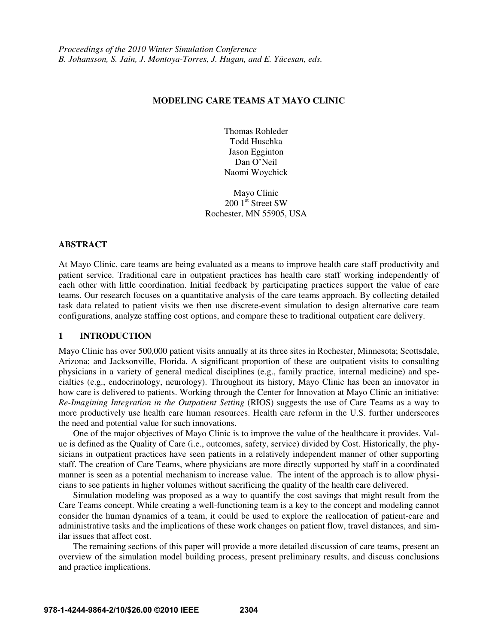### **MODELING CARE TEAMS AT MAYO CLINIC**

Thomas Rohleder Todd Huschka Jason Egginton Dan O'Neil Naomi Woychick

Mayo Clinic 200 1<sup>st</sup> Street SW Rochester, MN 55905, USA

#### **ABSTRACT**

At Mayo Clinic, care teams are being evaluated as a means to improve health care staff productivity and patient service. Traditional care in outpatient practices has health care staff working independently of each other with little coordination. Initial feedback by participating practices support the value of care teams. Our research focuses on a quantitative analysis of the care teams approach. By collecting detailed task data related to patient visits we then use discrete-event simulation to design alternative care team configurations, analyze staffing cost options, and compare these to traditional outpatient care delivery.

### **1 INTRODUCTION**

Mayo Clinic has over 500,000 patient visits annually at its three sites in Rochester, Minnesota; Scottsdale, Arizona; and Jacksonville, Florida. A significant proportion of these are outpatient visits to consulting physicians in a variety of general medical disciplines (e.g., family practice, internal medicine) and specialties (e.g., endocrinology, neurology). Throughout its history, Mayo Clinic has been an innovator in how care is delivered to patients. Working through the Center for Innovation at Mayo Clinic an initiative: *Re-Imagining Integration in the Outpatient Setting* (RIOS) suggests the use of Care Teams as a way to more productively use health care human resources. Health care reform in the U.S. further underscores the need and potential value for such innovations.

 One of the major objectives of Mayo Clinic is to improve the value of the healthcare it provides. Value is defined as the Quality of Care (i.e., outcomes, safety, service) divided by Cost. Historically, the physicians in outpatient practices have seen patients in a relatively independent manner of other supporting staff. The creation of Care Teams, where physicians are more directly supported by staff in a coordinated manner is seen as a potential mechanism to increase value. The intent of the approach is to allow physicians to see patients in higher volumes without sacrificing the quality of the health care delivered.

Simulation modeling was proposed as a way to quantify the cost savings that might result from the Care Teams concept. While creating a well-functioning team is a key to the concept and modeling cannot consider the human dynamics of a team, it could be used to explore the reallocation of patient-care and administrative tasks and the implications of these work changes on patient flow, travel distances, and similar issues that affect cost.

The remaining sections of this paper will provide a more detailed discussion of care teams, present an overview of the simulation model building process, present preliminary results, and discuss conclusions and practice implications.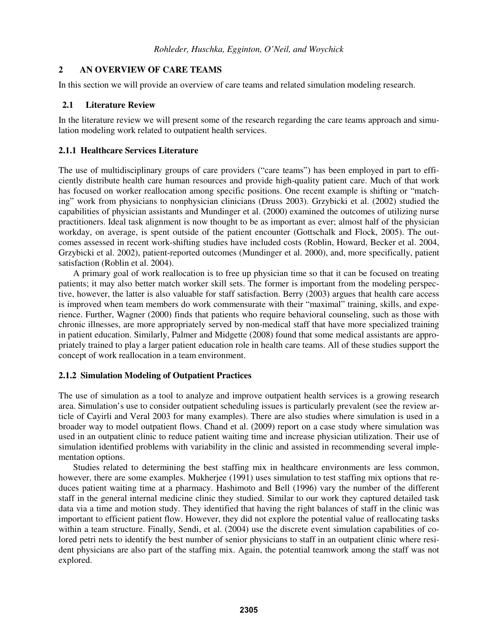## **2 AN OVERVIEW OF CARE TEAMS**

In this section we will provide an overview of care teams and related simulation modeling research.

## **2.1 Literature Review**

In the literature review we will present some of the research regarding the care teams approach and simulation modeling work related to outpatient health services.

## **2.1.1 Healthcare Services Literature**

The use of multidisciplinary groups of care providers ("care teams") has been employed in part to efficiently distribute health care human resources and provide high-quality patient care. Much of that work has focused on worker reallocation among specific positions. One recent example is shifting or "matching" work from physicians to nonphysician clinicians (Druss 2003). Grzybicki et al. (2002) studied the capabilities of physician assistants and Mundinger et al. (2000) examined the outcomes of utilizing nurse practitioners. Ideal task alignment is now thought to be as important as ever; almost half of the physician workday, on average, is spent outside of the patient encounter (Gottschalk and Flock, 2005). The outcomes assessed in recent work-shifting studies have included costs (Roblin, Howard, Becker et al. 2004, Grzybicki et al. 2002), patient-reported outcomes (Mundinger et al. 2000), and, more specifically, patient satisfaction (Roblin et al. 2004).

A primary goal of work reallocation is to free up physician time so that it can be focused on treating patients; it may also better match worker skill sets. The former is important from the modeling perspective, however, the latter is also valuable for staff satisfaction. Berry (2003) argues that health care access is improved when team members do work commensurate with their "maximal" training, skills, and experience. Further, Wagner (2000) finds that patients who require behavioral counseling, such as those with chronic illnesses, are more appropriately served by non-medical staff that have more specialized training in patient education. Similarly, Palmer and Midgette (2008) found that some medical assistants are appropriately trained to play a larger patient education role in health care teams. All of these studies support the concept of work reallocation in a team environment.

## **2.1.2 Simulation Modeling of Outpatient Practices**

The use of simulation as a tool to analyze and improve outpatient health services is a growing research area. Simulation's use to consider outpatient scheduling issues is particularly prevalent (see the review article of Cayirli and Veral 2003 for many examples). There are also studies where simulation is used in a broader way to model outpatient flows. Chand et al. (2009) report on a case study where simulation was used in an outpatient clinic to reduce patient waiting time and increase physician utilization. Their use of simulation identified problems with variability in the clinic and assisted in recommending several implementation options.

Studies related to determining the best staffing mix in healthcare environments are less common, however, there are some examples. Mukherjee (1991) uses simulation to test staffing mix options that reduces patient waiting time at a pharmacy. Hashimoto and Bell (1996) vary the number of the different staff in the general internal medicine clinic they studied. Similar to our work they captured detailed task data via a time and motion study. They identified that having the right balances of staff in the clinic was important to efficient patient flow. However, they did not explore the potential value of reallocating tasks within a team structure. Finally, Sendi, et al. (2004) use the discrete event simulation capabilities of colored petri nets to identify the best number of senior physicians to staff in an outpatient clinic where resident physicians are also part of the staffing mix. Again, the potential teamwork among the staff was not explored.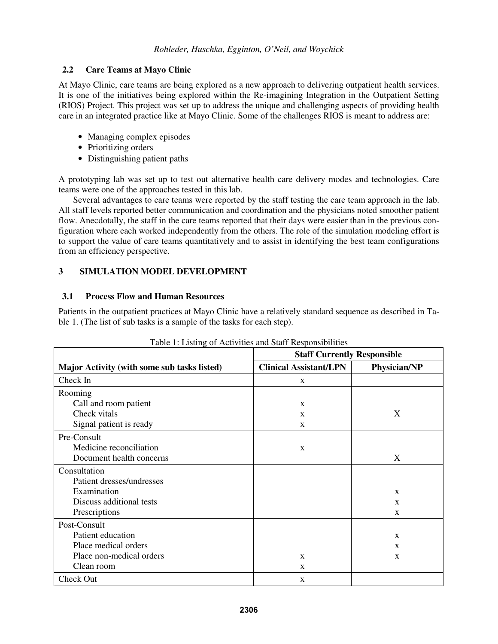# **2.2 Care Teams at Mayo Clinic**

At Mayo Clinic, care teams are being explored as a new approach to delivering outpatient health services. It is one of the initiatives being explored within the Re-imagining Integration in the Outpatient Setting (RIOS) Project. This project was set up to address the unique and challenging aspects of providing health care in an integrated practice like at Mayo Clinic. Some of the challenges RIOS is meant to address are:

- Managing complex episodes
- Prioritizing orders
- Distinguishing patient paths

A prototyping lab was set up to test out alternative health care delivery modes and technologies. Care teams were one of the approaches tested in this lab.

 Several advantages to care teams were reported by the staff testing the care team approach in the lab. All staff levels reported better communication and coordination and the physicians noted smoother patient flow. Anecdotally, the staff in the care teams reported that their days were easier than in the previous configuration where each worked independently from the others. The role of the simulation modeling effort is to support the value of care teams quantitatively and to assist in identifying the best team configurations from an efficiency perspective.

# **3 SIMULATION MODEL DEVELOPMENT**

## **3.1 Process Flow and Human Resources**

Patients in the outpatient practices at Mayo Clinic have a relatively standard sequence as described in Table 1. (The list of sub tasks is a sample of the tasks for each step).

|                                             | <b>Staff Currently Responsible</b> |                     |  |  |
|---------------------------------------------|------------------------------------|---------------------|--|--|
| Major Activity (with some sub tasks listed) | <b>Clinical Assistant/LPN</b>      | <b>Physician/NP</b> |  |  |
| Check In                                    | X                                  |                     |  |  |
| Rooming                                     |                                    |                     |  |  |
| Call and room patient                       | $\mathbf{x}$                       |                     |  |  |
| Check vitals                                | $\mathbf{x}$                       | X                   |  |  |
| Signal patient is ready                     | $\mathbf{x}$                       |                     |  |  |
| Pre-Consult                                 |                                    |                     |  |  |
| Medicine reconciliation                     | X                                  |                     |  |  |
| Document health concerns                    |                                    | X                   |  |  |
| Consultation                                |                                    |                     |  |  |
| Patient dresses/undresses                   |                                    |                     |  |  |
| Examination                                 |                                    | X                   |  |  |
| Discuss additional tests                    |                                    | X                   |  |  |
| Prescriptions                               |                                    | X                   |  |  |
| Post-Consult                                |                                    |                     |  |  |
| Patient education                           |                                    | X                   |  |  |
| Place medical orders                        |                                    | X                   |  |  |
| Place non-medical orders                    | $\mathbf X$                        | X                   |  |  |
| Clean room                                  | $\mathbf{x}$                       |                     |  |  |
| Check Out                                   | X                                  |                     |  |  |

Table 1: Listing of Activities and Staff Responsibilities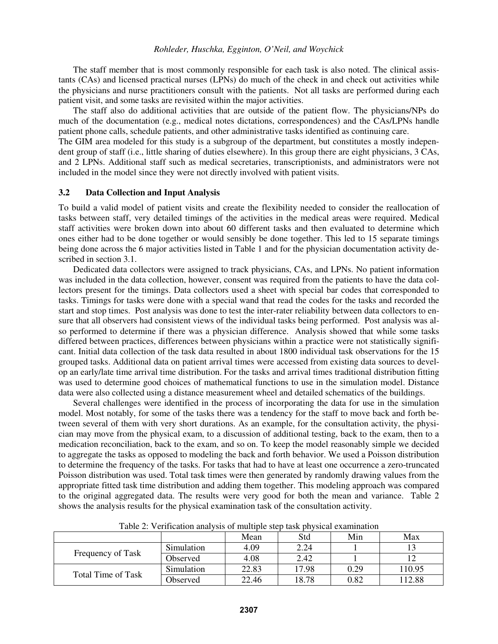The staff member that is most commonly responsible for each task is also noted. The clinical assistants (CAs) and licensed practical nurses (LPNs) do much of the check in and check out activities while the physicians and nurse practitioners consult with the patients. Not all tasks are performed during each patient visit, and some tasks are revisited within the major activities.

The staff also do additional activities that are outside of the patient flow. The physicians/NPs do much of the documentation (e.g., medical notes dictations, correspondences) and the CAs/LPNs handle patient phone calls, schedule patients, and other administrative tasks identified as continuing care.

The GIM area modeled for this study is a subgroup of the department, but constitutes a mostly independent group of staff (i.e., little sharing of duties elsewhere). In this group there are eight physicians, 3 CAs, and 2 LPNs. Additional staff such as medical secretaries, transcriptionists, and administrators were not included in the model since they were not directly involved with patient visits.

### **3.2 Data Collection and Input Analysis**

To build a valid model of patient visits and create the flexibility needed to consider the reallocation of tasks between staff, very detailed timings of the activities in the medical areas were required. Medical staff activities were broken down into about 60 different tasks and then evaluated to determine which ones either had to be done together or would sensibly be done together. This led to 15 separate timings being done across the 6 major activities listed in Table 1 and for the physician documentation activity described in section 3.1.

Dedicated data collectors were assigned to track physicians, CAs, and LPNs. No patient information was included in the data collection, however, consent was required from the patients to have the data collectors present for the timings. Data collectors used a sheet with special bar codes that corresponded to tasks. Timings for tasks were done with a special wand that read the codes for the tasks and recorded the start and stop times. Post analysis was done to test the inter-rater reliability between data collectors to ensure that all observers had consistent views of the individual tasks being performed. Post analysis was also performed to determine if there was a physician difference. Analysis showed that while some tasks differed between practices, differences between physicians within a practice were not statistically significant. Initial data collection of the task data resulted in about 1800 individual task observations for the 15 grouped tasks. Additional data on patient arrival times were accessed from existing data sources to develop an early/late time arrival time distribution. For the tasks and arrival times traditional distribution fitting was used to determine good choices of mathematical functions to use in the simulation model. Distance data were also collected using a distance measurement wheel and detailed schematics of the buildings.

Several challenges were identified in the process of incorporating the data for use in the simulation model. Most notably, for some of the tasks there was a tendency for the staff to move back and forth between several of them with very short durations. As an example, for the consultation activity, the physician may move from the physical exam, to a discussion of additional testing, back to the exam, then to a medication reconciliation, back to the exam, and so on. To keep the model reasonably simple we decided to aggregate the tasks as opposed to modeling the back and forth behavior. We used a Poisson distribution to determine the frequency of the tasks. For tasks that had to have at least one occurrence a zero-truncated Poisson distribution was used. Total task times were then generated by randomly drawing values from the appropriate fitted task time distribution and adding them together. This modeling approach was compared to the original aggregated data. The results were very good for both the mean and variance. Table 2 shows the analysis results for the physical examination task of the consultation activity.

|                    |            | Mean  | Std   | Min        | Max    |
|--------------------|------------|-------|-------|------------|--------|
| Frequency of Task  | Simulation | 4.09  | 2.24  |            |        |
|                    | Observed   | 4.08  | 2.42  |            |        |
| Total Time of Task | Simulation | 22.83 | 17.98 | 0.29       | 110.95 |
|                    | Observed   | 22.46 | 18.78 | $\rm 0.82$ | 12.88  |

Table 2: Verification analysis of multiple step task physical examination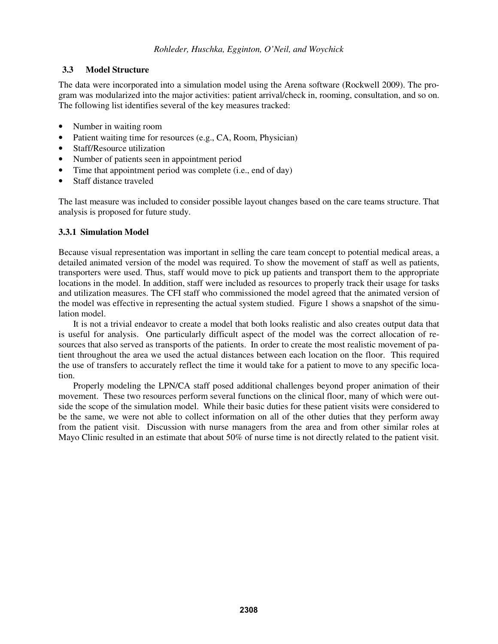# **3.3 Model Structure**

The data were incorporated into a simulation model using the Arena software (Rockwell 2009). The program was modularized into the major activities: patient arrival/check in, rooming, consultation, and so on. The following list identifies several of the key measures tracked:

- Number in waiting room
- Patient waiting time for resources (e.g., CA, Room, Physician)
- Staff/Resource utilization
- Number of patients seen in appointment period
- Time that appointment period was complete (i.e., end of day)
- Staff distance traveled

The last measure was included to consider possible layout changes based on the care teams structure. That analysis is proposed for future study.

# **3.3.1 Simulation Model**

Because visual representation was important in selling the care team concept to potential medical areas, a detailed animated version of the model was required. To show the movement of staff as well as patients, transporters were used. Thus, staff would move to pick up patients and transport them to the appropriate locations in the model. In addition, staff were included as resources to properly track their usage for tasks and utilization measures. The CFI staff who commissioned the model agreed that the animated version of the model was effective in representing the actual system studied. Figure 1 shows a snapshot of the simulation model.

It is not a trivial endeavor to create a model that both looks realistic and also creates output data that is useful for analysis. One particularly difficult aspect of the model was the correct allocation of resources that also served as transports of the patients. In order to create the most realistic movement of patient throughout the area we used the actual distances between each location on the floor. This required the use of transfers to accurately reflect the time it would take for a patient to move to any specific location.

Properly modeling the LPN/CA staff posed additional challenges beyond proper animation of their movement. These two resources perform several functions on the clinical floor, many of which were outside the scope of the simulation model. While their basic duties for these patient visits were considered to be the same, we were not able to collect information on all of the other duties that they perform away from the patient visit. Discussion with nurse managers from the area and from other similar roles at Mayo Clinic resulted in an estimate that about 50% of nurse time is not directly related to the patient visit.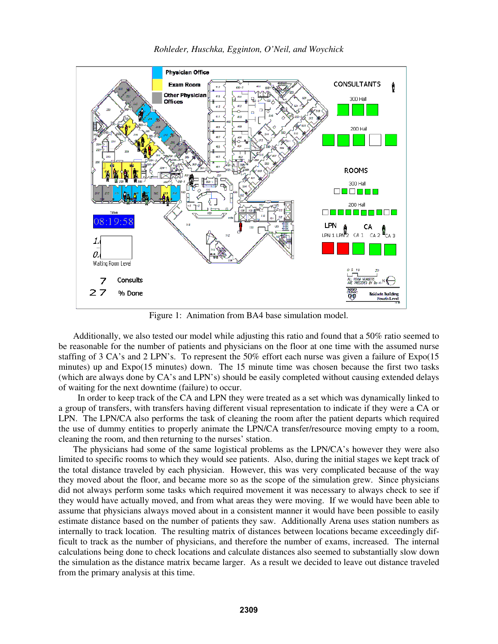

Figure 1: Animation from BA4 base simulation model.

Additionally, we also tested our model while adjusting this ratio and found that a 50% ratio seemed to be reasonable for the number of patients and physicians on the floor at one time with the assumed nurse staffing of 3 CA's and 2 LPN's. To represent the 50% effort each nurse was given a failure of Expo(15 minutes) up and Expo(15 minutes) down. The 15 minute time was chosen because the first two tasks (which are always done by CA's and LPN's) should be easily completed without causing extended delays of waiting for the next downtime (failure) to occur.

 In order to keep track of the CA and LPN they were treated as a set which was dynamically linked to a group of transfers, with transfers having different visual representation to indicate if they were a CA or LPN. The LPN/CA also performs the task of cleaning the room after the patient departs which required the use of dummy entities to properly animate the LPN/CA transfer/resource moving empty to a room, cleaning the room, and then returning to the nurses' station.

The physicians had some of the same logistical problems as the LPN/CA's however they were also limited to specific rooms to which they would see patients. Also, during the initial stages we kept track of the total distance traveled by each physician. However, this was very complicated because of the way they moved about the floor, and became more so as the scope of the simulation grew. Since physicians did not always perform some tasks which required movement it was necessary to always check to see if they would have actually moved, and from what areas they were moving. If we would have been able to assume that physicians always moved about in a consistent manner it would have been possible to easily estimate distance based on the number of patients they saw. Additionally Arena uses station numbers as internally to track location. The resulting matrix of distances between locations became exceedingly difficult to track as the number of physicians, and therefore the number of exams, increased. The internal calculations being done to check locations and calculate distances also seemed to substantially slow down the simulation as the distance matrix became larger. As a result we decided to leave out distance traveled from the primary analysis at this time.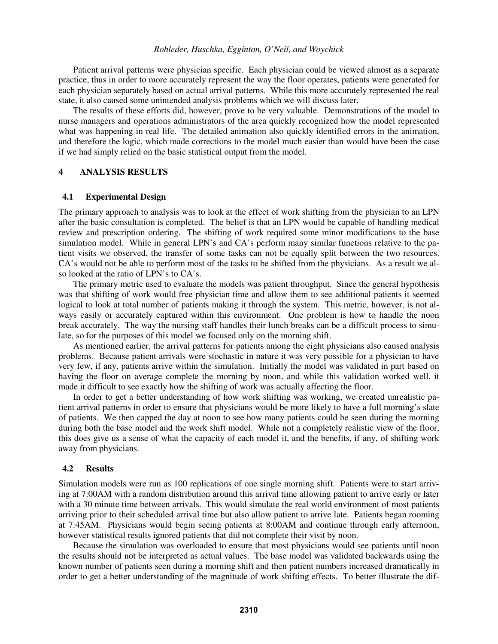Patient arrival patterns were physician specific. Each physician could be viewed almost as a separate practice, thus in order to more accurately represent the way the floor operates, patients were generated for each physician separately based on actual arrival patterns. While this more accurately represented the real state, it also caused some unintended analysis problems which we will discuss later.

The results of these efforts did, however, prove to be very valuable. Demonstrations of the model to nurse managers and operations administrators of the area quickly recognized how the model represented what was happening in real life. The detailed animation also quickly identified errors in the animation, and therefore the logic, which made corrections to the model much easier than would have been the case if we had simply relied on the basic statistical output from the model.

## **4 ANALYSIS RESULTS**

#### **4.1 Experimental Design**

The primary approach to analysis was to look at the effect of work shifting from the physician to an LPN after the basic consultation is completed. The belief is that an LPN would be capable of handling medical review and prescription ordering. The shifting of work required some minor modifications to the base simulation model. While in general LPN's and CA's perform many similar functions relative to the patient visits we observed, the transfer of some tasks can not be equally split between the two resources. CA's would not be able to perform most of the tasks to be shifted from the physicians. As a result we also looked at the ratio of LPN's to CA's.

The primary metric used to evaluate the models was patient throughput. Since the general hypothesis was that shifting of work would free physician time and allow them to see additional patients it seemed logical to look at total number of patients making it through the system. This metric, however, is not always easily or accurately captured within this environment. One problem is how to handle the noon break accurately. The way the nursing staff handles their lunch breaks can be a difficult process to simulate, so for the purposes of this model we focused only on the morning shift.

As mentioned earlier, the arrival patterns for patients among the eight physicians also caused analysis problems. Because patient arrivals were stochastic in nature it was very possible for a physician to have very few, if any, patients arrive within the simulation. Initially the model was validated in part based on having the floor on average complete the morning by noon, and while this validation worked well, it made it difficult to see exactly how the shifting of work was actually affecting the floor.

In order to get a better understanding of how work shifting was working, we created unrealistic patient arrival patterns in order to ensure that physicians would be more likely to have a full morning's slate of patients. We then capped the day at noon to see how many patients could be seen during the morning during both the base model and the work shift model. While not a completely realistic view of the floor, this does give us a sense of what the capacity of each model it, and the benefits, if any, of shifting work away from physicians.

### **4.2 Results**

Simulation models were run as 100 replications of one single morning shift. Patients were to start arriving at 7:00AM with a random distribution around this arrival time allowing patient to arrive early or later with a 30 minute time between arrivals. This would simulate the real world environment of most patients arriving prior to their scheduled arrival time but also allow patient to arrive late. Patients began rooming at 7:45AM. Physicians would begin seeing patients at 8:00AM and continue through early afternoon, however statistical results ignored patients that did not complete their visit by noon.

Because the simulation was overloaded to ensure that most physicians would see patients until noon the results should not be interpreted as actual values. The base model was validated backwards using the known number of patients seen during a morning shift and then patient numbers increased dramatically in order to get a better understanding of the magnitude of work shifting effects. To better illustrate the dif-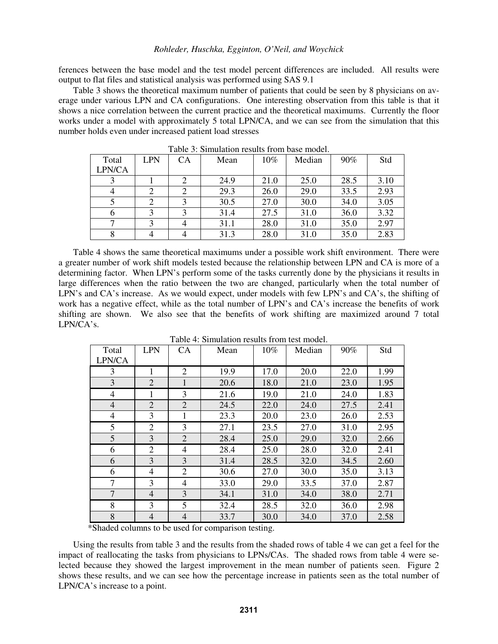ferences between the base model and the test model percent differences are included. All results were output to flat files and statistical analysis was performed using SAS 9.1

Table 3 shows the theoretical maximum number of patients that could be seen by 8 physicians on average under various LPN and CA configurations. One interesting observation from this table is that it shows a nice correlation between the current practice and the theoretical maximums. Currently the floor works under a model with approximately 5 total LPN/CA, and we can see from the simulation that this number holds even under increased patient load stresses

| Total  | <b>LPN</b> | CA | Mean | 10%  | Median | 90%  | Std  |
|--------|------------|----|------|------|--------|------|------|
| LPN/CA |            |    |      |      |        |      |      |
|        |            |    | 24.9 | 21.0 | 25.0   | 28.5 | 3.10 |
|        |            |    | 29.3 | 26.0 | 29.0   | 33.5 | 2.93 |
|        |            |    | 30.5 | 27.0 | 30.0   | 34.0 | 3.05 |
| n      |            |    | 31.4 | 27.5 | 31.0   | 36.0 | 3.32 |
|        |            |    | 31.1 | 28.0 | 31.0   | 35.0 | 2.97 |
|        |            |    | 31.3 | 28.0 | 31.0   | 35.0 | 2.83 |

Table 3: Simulation results from base model.

Table 4 shows the same theoretical maximums under a possible work shift environment. There were a greater number of work shift models tested because the relationship between LPN and CA is more of a determining factor. When LPN's perform some of the tasks currently done by the physicians it results in large differences when the ratio between the two are changed, particularly when the total number of LPN's and CA's increase. As we would expect, under models with few LPN's and CA's, the shifting of work has a negative effect, while as the total number of LPN's and CA's increase the benefits of work shifting are shown. We also see that the benefits of work shifting are maximized around 7 total LPN/CA's.

| Total<br>LPN/CA | <b>LPN</b>     | CA             | Mean | 10%  | Median | 90%  | Std  |
|-----------------|----------------|----------------|------|------|--------|------|------|
| 3               |                | $\overline{2}$ | 19.9 | 17.0 | 20.0   | 22.0 | 1.99 |
| 3               | $\overline{2}$ | 1              | 20.6 | 18.0 | 21.0   | 23.0 | 1.95 |
| 4               | 1              | 3              | 21.6 | 19.0 | 21.0   | 24.0 | 1.83 |
| $\overline{4}$  | $\overline{2}$ | $\overline{2}$ | 24.5 | 22.0 | 24.0   | 27.5 | 2.41 |
| 4               | 3              | 1              | 23.3 | 20.0 | 23.0   | 26.0 | 2.53 |
| 5               | 2              | 3              | 27.1 | 23.5 | 27.0   | 31.0 | 2.95 |
| 5               | 3              | $\overline{2}$ | 28.4 | 25.0 | 29.0   | 32.0 | 2.66 |
| 6               | $\overline{2}$ | 4              | 28.4 | 25.0 | 28.0   | 32.0 | 2.41 |
| 6               | 3              | 3              | 31.4 | 28.5 | 32.0   | 34.5 | 2.60 |
| 6               | 4              | $\overline{2}$ | 30.6 | 27.0 | 30.0   | 35.0 | 3.13 |
| 7               | 3              | 4              | 33.0 | 29.0 | 33.5   | 37.0 | 2.87 |
| 7               | $\overline{4}$ | 3              | 34.1 | 31.0 | 34.0   | 38.0 | 2.71 |
| 8               | 3              | 5              | 32.4 | 28.5 | 32.0   | 36.0 | 2.98 |
| 8               | $\overline{4}$ | $\overline{4}$ | 33.7 | 30.0 | 34.0   | 37.0 | 2.58 |

Table 4: Simulation results from test model.

\*Shaded columns to be used for comparison testing.

Using the results from table 3 and the results from the shaded rows of table 4 we can get a feel for the impact of reallocating the tasks from physicians to LPNs/CAs. The shaded rows from table 4 were selected because they showed the largest improvement in the mean number of patients seen. Figure 2 shows these results, and we can see how the percentage increase in patients seen as the total number of LPN/CA's increase to a point.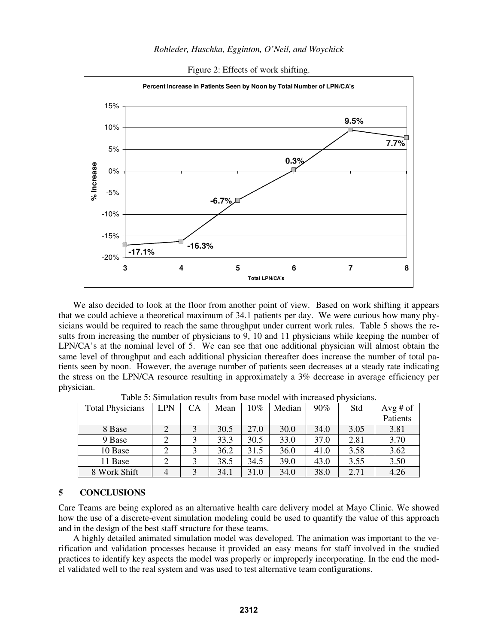

Figure 2: Effects of work shifting.

We also decided to look at the floor from another point of view. Based on work shifting it appears that we could achieve a theoretical maximum of 34.1 patients per day. We were curious how many physicians would be required to reach the same throughput under current work rules. Table 5 shows the results from increasing the number of physicians to 9, 10 and 11 physicians while keeping the number of LPN/CA's at the nominal level of 5. We can see that one additional physician will almost obtain the same level of throughput and each additional physician thereafter does increase the number of total patients seen by noon. However, the average number of patients seen decreases at a steady rate indicating the stress on the LPN/CA resource resulting in approximately a 3% decrease in average efficiency per physician.

| Tuble 3, Shinahubii Iesans IIomi base model whii mercased physicians. |            |    |      |        |        |      |      |             |
|-----------------------------------------------------------------------|------------|----|------|--------|--------|------|------|-------------|
| <b>Total Physicians</b>                                               | <b>LPN</b> | CA | Mean | $10\%$ | Median | 90%  | Std  | $Avg \# of$ |
|                                                                       |            |    |      |        |        |      |      | Patients    |
| 8 Base                                                                |            |    | 30.5 | 27.0   | 30.0   | 34.0 | 3.05 | 3.81        |
| 9 Base                                                                |            |    | 33.3 | 30.5   | 33.0   | 37.0 | 2.81 | 3.70        |
| 10 Base                                                               |            |    | 36.2 | 31.5   | 36.0   | 41.0 | 3.58 | 3.62        |
| 11 Base                                                               |            |    | 38.5 | 34.5   | 39.0   | 43.0 | 3.55 | 3.50        |
| 8 Work Shift                                                          |            |    | 34.1 | 31.0   | 34.0   | 38.0 | 2.71 | 4.26        |

Table 5: Simulation results from base model with increased physicians.

## **5 CONCLUSIONS**

Care Teams are being explored as an alternative health care delivery model at Mayo Clinic. We showed how the use of a discrete-event simulation modeling could be used to quantify the value of this approach and in the design of the best staff structure for these teams.

 A highly detailed animated simulation model was developed. The animation was important to the verification and validation processes because it provided an easy means for staff involved in the studied practices to identify key aspects the model was properly or improperly incorporating. In the end the model validated well to the real system and was used to test alternative team configurations.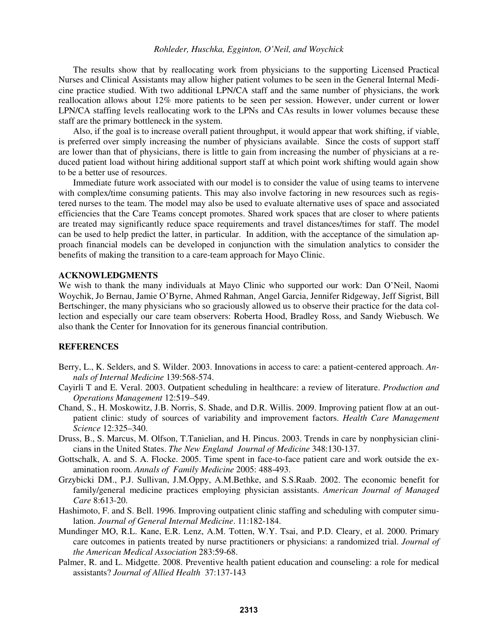The results show that by reallocating work from physicians to the supporting Licensed Practical Nurses and Clinical Assistants may allow higher patient volumes to be seen in the General Internal Medicine practice studied. With two additional LPN/CA staff and the same number of physicians, the work reallocation allows about 12% more patients to be seen per session. However, under current or lower LPN/CA staffing levels reallocating work to the LPNs and CAs results in lower volumes because these staff are the primary bottleneck in the system.

 Also, if the goal is to increase overall patient throughput, it would appear that work shifting, if viable, is preferred over simply increasing the number of physicians available. Since the costs of support staff are lower than that of physicians, there is little to gain from increasing the number of physicians at a reduced patient load without hiring additional support staff at which point work shifting would again show to be a better use of resources.

 Immediate future work associated with our model is to consider the value of using teams to intervene with complex/time consuming patients. This may also involve factoring in new resources such as registered nurses to the team. The model may also be used to evaluate alternative uses of space and associated efficiencies that the Care Teams concept promotes. Shared work spaces that are closer to where patients are treated may significantly reduce space requirements and travel distances/times for staff. The model can be used to help predict the latter, in particular. In addition, with the acceptance of the simulation approach financial models can be developed in conjunction with the simulation analytics to consider the benefits of making the transition to a care-team approach for Mayo Clinic.

#### **ACKNOWLEDGMENTS**

We wish to thank the many individuals at Mayo Clinic who supported our work: Dan O'Neil, Naomi Woychik, Jo Bernau, Jamie O'Byrne, Ahmed Rahman, Angel Garcia, Jennifer Ridgeway, Jeff Sigrist, Bill Bertschinger, the many physicians who so graciously allowed us to observe their practice for the data collection and especially our care team observers: Roberta Hood, Bradley Ross, and Sandy Wiebusch. We also thank the Center for Innovation for its generous financial contribution.

### **REFERENCES**

- Berry, L., K. Selders, and S. Wilder. 2003. Innovations in access to care: a patient-centered approach. *Annals of Internal Medicine* 139:568-574.
- Cayirli T and E. Veral. 2003. Outpatient scheduling in healthcare: a review of literature. *Production and Operations Management* 12:519–549.
- Chand, S., H. Moskowitz, J.B. Norris, S. Shade, and D.R. Willis. 2009. Improving patient flow at an outpatient clinic: study of sources of variability and improvement factors. *Health Care Management Science* 12:325–340.
- Druss, B., S. Marcus, M. Olfson, T.Tanielian, and H. Pincus. 2003. Trends in care by nonphysician clinicians in the United States. *The New England Journal of Medicine* 348:130-137.
- Gottschalk, A. and S. A. Flocke. 2005. Time spent in face-to-face patient care and work outside the examination room. *Annals of Family Medicine* 2005: 488-493.
- Grzybicki DM., P.J. Sullivan, J.M.Oppy, A.M.Bethke, and S.S.Raab. 2002. The economic benefit for family/general medicine practices employing physician assistants. *American Journal of Managed Care* 8:613-20.
- Hashimoto, F. and S. Bell. 1996. Improving outpatient clinic staffing and scheduling with computer simulation. *Journal of General Internal Medicine*. 11:182-184.
- Mundinger MO, R.L. Kane, E.R. Lenz, A.M. Totten, W.Y. Tsai, and P.D. Cleary, et al. 2000. Primary care outcomes in patients treated by nurse practitioners or physicians: a randomized trial. *Journal of the American Medical Association* 283:59-68.
- Palmer, R. and L. Midgette. 2008. Preventive health patient education and counseling: a role for medical assistants? *Journal of Allied Health* 37:137-143